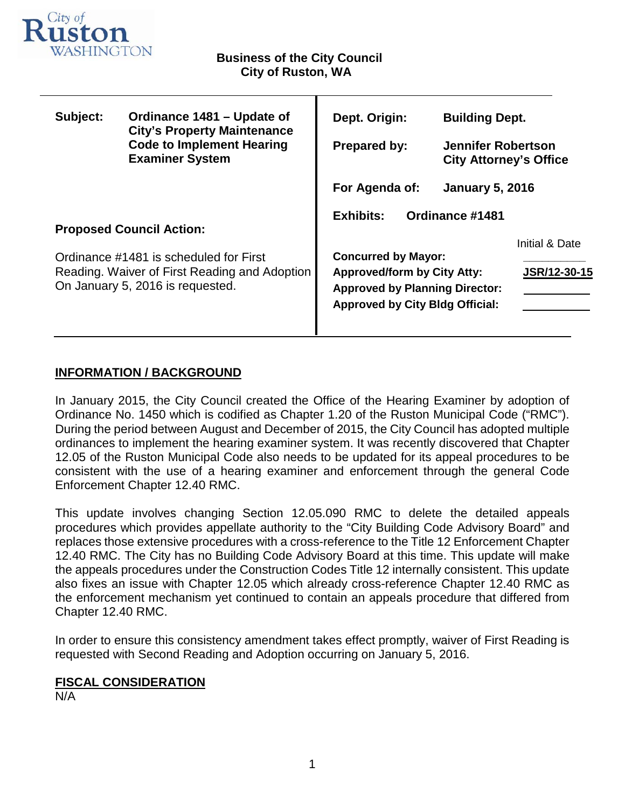

т

| Subject:                                                                                                                                                       | Ordinance 1481 – Update of<br><b>City's Property Maintenance</b><br><b>Code to Implement Hearing</b><br><b>Examiner System</b> | Dept. Origin:                                                                                                                                                                                                | <b>Building Dept.</b>                                      |              |
|----------------------------------------------------------------------------------------------------------------------------------------------------------------|--------------------------------------------------------------------------------------------------------------------------------|--------------------------------------------------------------------------------------------------------------------------------------------------------------------------------------------------------------|------------------------------------------------------------|--------------|
|                                                                                                                                                                |                                                                                                                                | <b>Prepared by:</b>                                                                                                                                                                                          | <b>Jennifer Robertson</b><br><b>City Attorney's Office</b> |              |
|                                                                                                                                                                |                                                                                                                                | For Agenda of:                                                                                                                                                                                               | <b>January 5, 2016</b>                                     |              |
| <b>Proposed Council Action:</b><br>Ordinance #1481 is scheduled for First<br>Reading. Waiver of First Reading and Adoption<br>On January 5, 2016 is requested. |                                                                                                                                | <b>Exhibits:</b><br>Ordinance #1481<br>Initial & Date<br><b>Concurred by Mayor:</b><br><b>Approved/form by City Atty:</b><br><b>Approved by Planning Director:</b><br><b>Approved by City Bldg Official:</b> |                                                            | JSR/12-30-15 |

# **INFORMATION / BACKGROUND**

In January 2015, the City Council created the Office of the Hearing Examiner by adoption of Ordinance No. 1450 which is codified as Chapter 1.20 of the Ruston Municipal Code ("RMC"). During the period between August and December of 2015, the City Council has adopted multiple ordinances to implement the hearing examiner system. It was recently discovered that Chapter 12.05 of the Ruston Municipal Code also needs to be updated for its appeal procedures to be consistent with the use of a hearing examiner and enforcement through the general Code Enforcement Chapter 12.40 RMC.

This update involves changing Section 12.05.090 RMC to delete the detailed appeals procedures which provides appellate authority to the "City Building Code Advisory Board" and replaces those extensive procedures with a cross-reference to the Title 12 Enforcement Chapter 12.40 RMC. The City has no Building Code Advisory Board at this time. This update will make the appeals procedures under the Construction Codes Title 12 internally consistent. This update also fixes an issue with Chapter 12.05 which already cross-reference Chapter 12.40 RMC as the enforcement mechanism yet continued to contain an appeals procedure that differed from Chapter 12.40 RMC.

In order to ensure this consistency amendment takes effect promptly, waiver of First Reading is requested with Second Reading and Adoption occurring on January 5, 2016.

# **FISCAL CONSIDERATION**

N/A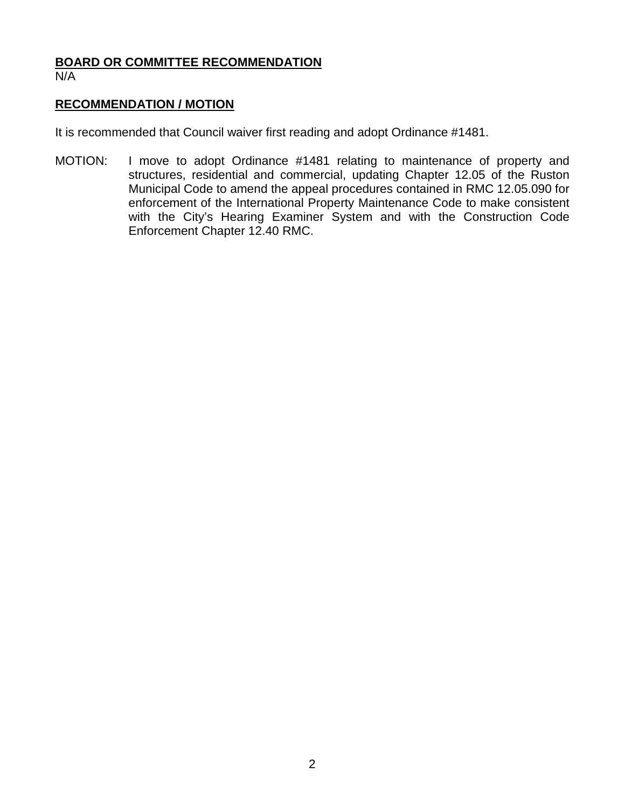# **BOARD OR COMMITTEE RECOMMENDATION** N/A

## **RECOMMENDATION / MOTION**

It is recommended that Council waiver first reading and adopt Ordinance #1481.

MOTION: I move to adopt Ordinance #1481 relating to maintenance of property and structures, residential and commercial, updating Chapter 12.05 of the Ruston Municipal Code to amend the appeal procedures contained in RMC 12.05.090 for enforcement of the International Property Maintenance Code to make consistent with the City's Hearing Examiner System and with the Construction Code Enforcement Chapter 12.40 RMC.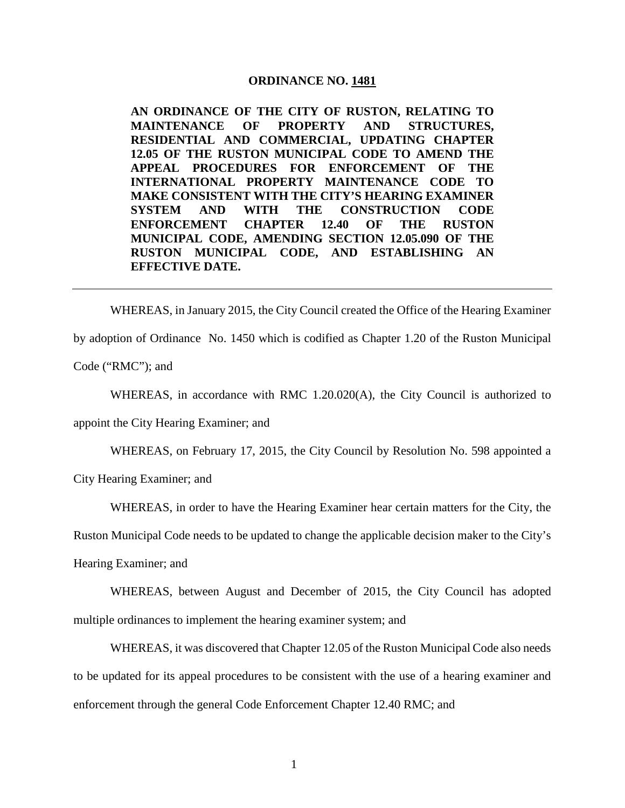#### **ORDINANCE NO. 1481**

**AN ORDINANCE OF THE CITY OF RUSTON, RELATING TO MAINTENANCE OF PROPERTY AND STRUCTURES, RESIDENTIAL AND COMMERCIAL, UPDATING CHAPTER 12.05 OF THE RUSTON MUNICIPAL CODE TO AMEND THE APPEAL PROCEDURES FOR ENFORCEMENT OF THE INTERNATIONAL PROPERTY MAINTENANCE CODE TO MAKE CONSISTENT WITH THE CITY'S HEARING EXAMINER SYSTEM AND WITH THE CONSTRUCTION CODE ENFORCEMENT CHAPTER 12.40 OF THE RUSTON MUNICIPAL CODE, AMENDING SECTION 12.05.090 OF THE RUSTON MUNICIPAL CODE, AND ESTABLISHING AN EFFECTIVE DATE.**

WHEREAS, in January 2015, the City Council created the Office of the Hearing Examiner by adoption of Ordinance No. 1450 which is codified as Chapter 1.20 of the Ruston Municipal Code ("RMC"); and

WHEREAS, in accordance with RMC 1.20.020(A), the City Council is authorized to appoint the City Hearing Examiner; and

WHEREAS, on February 17, 2015, the City Council by Resolution No. 598 appointed a City Hearing Examiner; and

WHEREAS, in order to have the Hearing Examiner hear certain matters for the City, the

Ruston Municipal Code needs to be updated to change the applicable decision maker to the City's

Hearing Examiner; and

WHEREAS, between August and December of 2015, the City Council has adopted multiple ordinances to implement the hearing examiner system; and

WHEREAS, it was discovered that Chapter 12.05 of the Ruston Municipal Code also needs to be updated for its appeal procedures to be consistent with the use of a hearing examiner and enforcement through the general Code Enforcement Chapter 12.40 RMC; and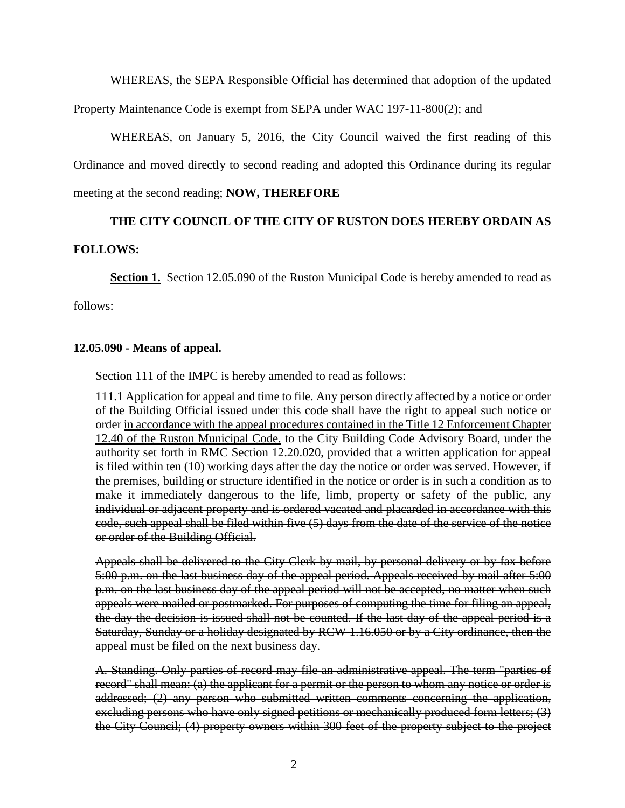WHEREAS, the SEPA Responsible Official has determined that adoption of the updated

Property Maintenance Code is exempt from SEPA under WAC 197-11-800(2); and

WHEREAS, on January 5, 2016, the City Council waived the first reading of this Ordinance and moved directly to second reading and adopted this Ordinance during its regular meeting at the second reading; **NOW, THEREFORE**

# **THE CITY COUNCIL OF THE CITY OF RUSTON DOES HEREBY ORDAIN AS**

## **FOLLOWS:**

**Section 1.** Section 12.05.090 of the Ruston Municipal Code is hereby amended to read as

follows:

## **12.05.090 - Means of appeal.**

Section 111 of the IMPC is hereby amended to read as follows:

111.1 Application for appeal and time to file. Any person directly affected by a notice or order of the Building Official issued under this code shall have the right to appeal such notice or order in accordance with the appeal procedures contained in the Title 12 Enforcement Chapter 12.40 of the Ruston Municipal Code. to the City Building Code Advisory Board, under the authority set forth in RMC Section 12.20.020, provided that a written application for appeal is filed within ten (10) working days after the day the notice or order was served. However, if the premises, building or structure identified in the notice or order is in such a condition as to make it immediately dangerous to the life, limb, property or safety of the public, any individual or adjacent property and is ordered vacated and placarded in accordance with this code, such appeal shall be filed within five (5) days from the date of the service of the notice or order of the Building Official.

Appeals shall be delivered to the City Clerk by mail, by personal delivery or by fax before 5:00 p.m. on the last business day of the appeal period. Appeals received by mail after 5:00 p.m. on the last business day of the appeal period will not be accepted, no matter when such appeals were mailed or postmarked. For purposes of computing the time for filing an appeal, the day the decision is issued shall not be counted. If the last day of the appeal period is a Saturday, Sunday or a holiday designated by RCW 1.16.050 or by a City ordinance, then the appeal must be filed on the next business day.

A. Standing. Only parties of record may file an administrative appeal. The term "parties of record" shall mean: (a) the applicant for a permit or the person to whom any notice or order is addressed; (2) any person who submitted written comments concerning the application, excluding persons who have only signed petitions or mechanically produced form letters; (3) the City Council; (4) property owners within 300 feet of the property subject to the project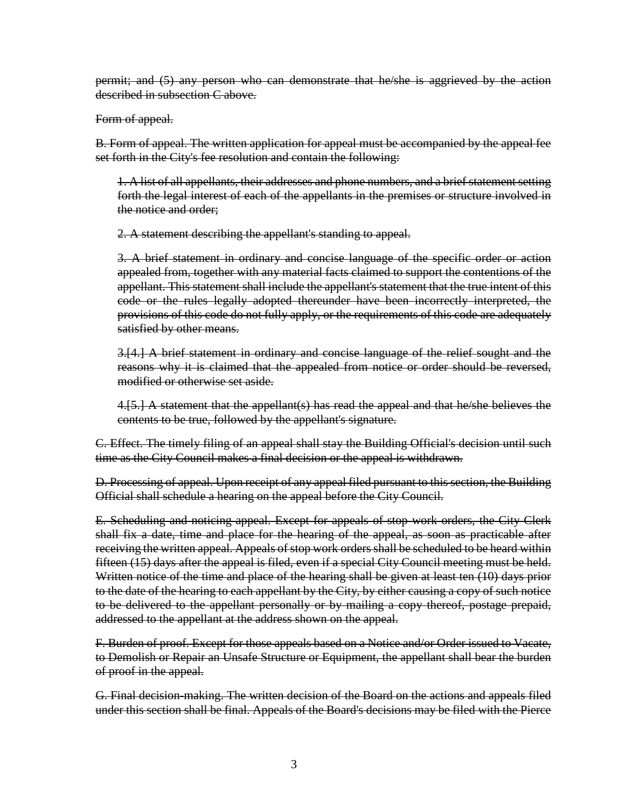permit; and (5) any person who can demonstrate that he/she is aggrieved by the action described in subsection C above.

## Form of appeal.

B. Form of appeal. The written application for appeal must be accompanied by the appeal fee set forth in the City's fee resolution and contain the following:

1. A list of all appellants, their addresses and phone numbers, and a brief statement setting forth the legal interest of each of the appellants in the premises or structure involved in the notice and order;

2. A statement describing the appellant's standing to appeal.

3. A brief statement in ordinary and concise language of the specific order or action appealed from, together with any material facts claimed to support the contentions of the appellant. This statement shall include the appellant's statement that the true intent of this code or the rules legally adopted thereunder have been incorrectly interpreted, the provisions of this code do not fully apply, or the requirements of this code are adequately satisfied by other means.

3.[4.] A brief statement in ordinary and concise language of the relief sought and the reasons why it is claimed that the appealed from notice or order should be reversed, modified or otherwise set aside.

4.[5.] A statement that the appellant(s) has read the appeal and that he/she believes the contents to be true, followed by the appellant's signature.

C. Effect. The timely filing of an appeal shall stay the Building Official's decision until such time as the City Council makes a final decision or the appeal is withdrawn.

D. Processing of appeal. Upon receipt of any appeal filed pursuant to this section, the Building Official shall schedule a hearing on the appeal before the City Council.

E. Scheduling and noticing appeal. Except for appeals of stop work orders, the City Clerk shall fix a date, time and place for the hearing of the appeal, as soon as practicable after receiving the written appeal. Appeals of stop work orders shall be scheduled to be heard within fifteen (15) days after the appeal is filed, even if a special City Council meeting must be held. Written notice of the time and place of the hearing shall be given at least ten (10) days prior to the date of the hearing to each appellant by the City, by either causing a copy of such notice to be delivered to the appellant personally or by mailing a copy thereof, postage prepaid, addressed to the appellant at the address shown on the appeal.

F. Burden of proof. Except for those appeals based on a Notice and/or Order issued to Vacate, to Demolish or Repair an Unsafe Structure or Equipment, the appellant shall bear the burden of proof in the appeal.

G. Final decision-making. The written decision of the Board on the actions and appeals filed under this section shall be final. Appeals of the Board's decisions may be filed with the Pierce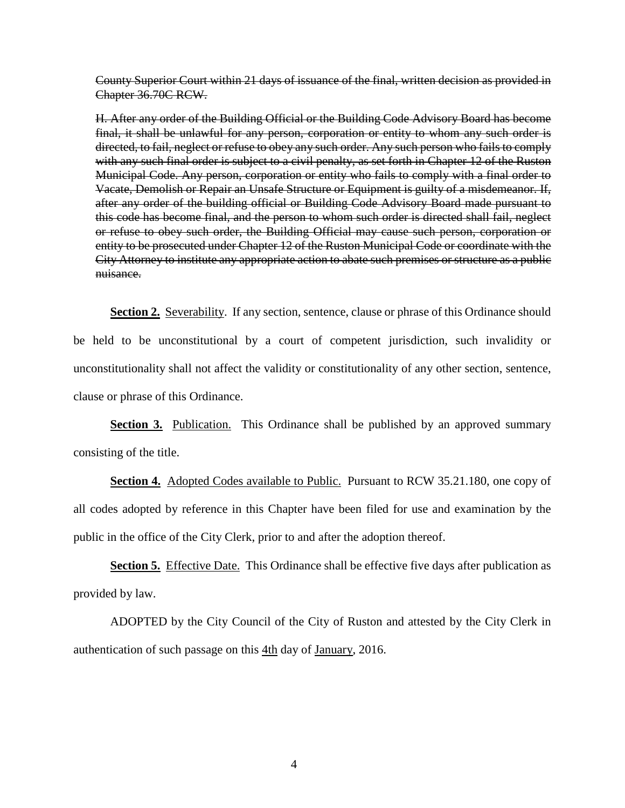County Superior Court within 21 days of issuance of the final, written decision as provided in Chapter 36.70C RCW.

H. After any order of the Building Official or the Building Code Advisory Board has become final, it shall be unlawful for any person, corporation or entity to whom any such order is directed, to fail, neglect or refuse to obey any such order. Any such person who fails to comply with any such final order is subject to a civil penalty, as set forth in Chapter 12 of the Ruston Municipal Code. Any person, corporation or entity who fails to comply with a final order to Vacate, Demolish or Repair an Unsafe Structure or Equipment is guilty of a misdemeanor. If, after any order of the building official or Building Code Advisory Board made pursuant to this code has become final, and the person to whom such order is directed shall fail, neglect or refuse to obey such order, the Building Official may cause such person, corporation or entity to be prosecuted under Chapter 12 of the Ruston Municipal Code or coordinate with the City Attorney to institute any appropriate action to abate such premises or structure as a public nuisance.

**Section 2.** Severability. If any section, sentence, clause or phrase of this Ordinance should be held to be unconstitutional by a court of competent jurisdiction, such invalidity or unconstitutionality shall not affect the validity or constitutionality of any other section, sentence, clause or phrase of this Ordinance.

**Section 3.** Publication. This Ordinance shall be published by an approved summary consisting of the title.

**Section 4.** Adopted Codes available to Public. Pursuant to RCW 35.21.180, one copy of all codes adopted by reference in this Chapter have been filed for use and examination by the public in the office of the City Clerk, prior to and after the adoption thereof.

**Section 5.** Effective Date. This Ordinance shall be effective five days after publication as provided by law.

ADOPTED by the City Council of the City of Ruston and attested by the City Clerk in authentication of such passage on this 4th day of January, 2016.

4